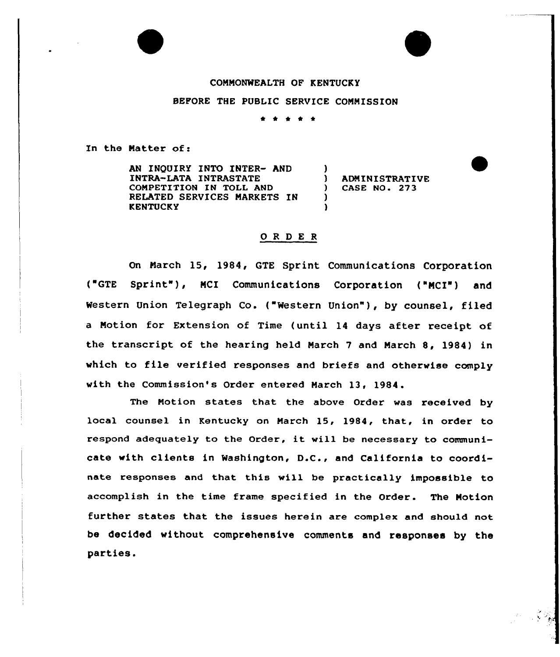## COMMONWEALTH OF KENTUCKY

BEFORE THE PUBLIC SERVICE COMMISSION

\* \* \* \*

In the Natter of:

AN INQUIRY INTO INTER- AND INTRA-LATA INTRASTATE COMPETITION IN TOLL AND RELATED SERVICES MARKETS IN **KENTUCKY** )<br>) ) ADMINISTRATIVE<br>1 CASE NO. 273 ) CASE NO. 273 ) )

## ORDER

On March 15, 1984, GTE Sprint Communications Corporation ('GTE Sprint" ), MCI Communications Corporation ("MCI") and Western Union Telegraph Co. ("Western Union" ), by counsel, filed a Motion for Extension of Time (until 14 days after receipt of the transcript of the hearing held March <sup>7</sup> and March 8, 1984) in which to file verified responses and briefs and otherwise comply with the Commission's Order entered March 13, 1984.

The Motion states that the above Order was received by local counsel in Kentucky on Narch 15, 1984, that, in order to respond adequately to the Order, it will be necessary to communicate with clients in Washington, D.C., and California to coordinate responses and that this will be pxactically impossible to accomplish in the time frame specified in the Order. The Motion further states that the issues herein are complex and should not be decided without compxehensive comments and responses by the parties.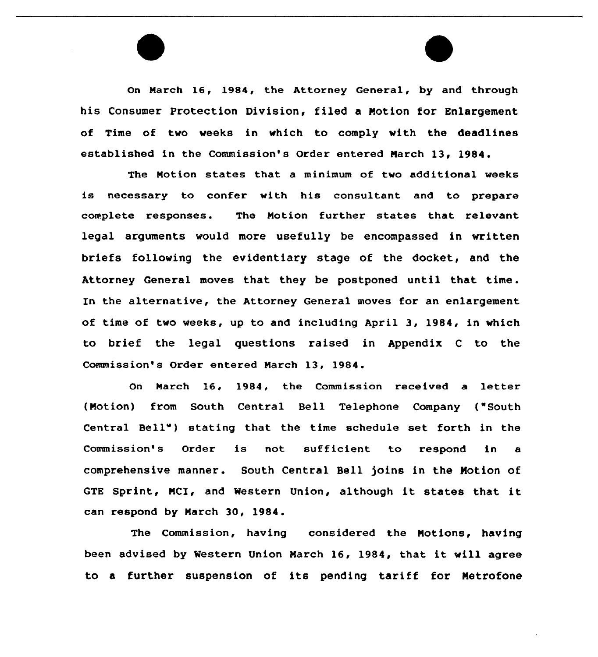On March 16, 1984, the Attorney General, by and through his Consumer Protection Division, filed a Notion for Enlargement of Time of two weeks in which to comply with the deadlines established in the Commission's Order entered Narch 13, 1984.

The Motion states that a minimum of two additional weeks is necessary to confer with his consultant and to prepare complete responses. The Motion further states that relevant legal arguments would more usefully be encompassed in written briefs following the evidentiary stage of the docket, and the Attorney General moves that they be postponed until that time . In the alternative, the Attorney General moves for an enlargement of time of two weeks, up to and including April 3, 1984, in which to brief the legal questions raised in Appendix <sup>C</sup> to the Commission's Order entered March 13, 1984.

On March 16, 1984, the Commission received a letter (Motion) from South Central Bell Telephone Company ("South Central Bell") stating that the time schedule set forth in the Commission's Order is not sufficient, to respond in a comprehensive manner. South Central Bell joins in the Notion of GTE Sprint, MCI, and Western Union, although it states that it can respond by Narch 30, 1984.

The Commission, having considered the Notions, having been advised by Western Union Narch 16, 1984, that it will agree to a further suspension of its pending tariff for Netrofone